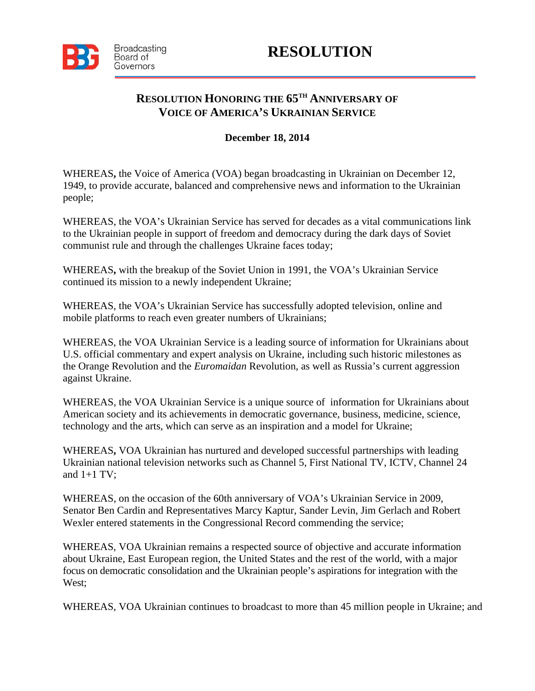

## **RESOLUTION HONORING THE 65TH ANNIVERSARY OF VOICE OF AMERICA'S UKRAINIAN SERVICE**

## **December 18, 2014**

WHEREAS**,** the Voice of America (VOA) began broadcasting in Ukrainian on December 12, 1949, to provide accurate, balanced and comprehensive news and information to the Ukrainian people;

WHEREAS, the VOA's Ukrainian Service has served for decades as a vital communications link to the Ukrainian people in support of freedom and democracy during the dark days of Soviet communist rule and through the challenges Ukraine faces today;

WHEREAS**,** with the breakup of the Soviet Union in 1991, the VOA's Ukrainian Service continued its mission to a newly independent Ukraine;

WHEREAS, the VOA's Ukrainian Service has successfully adopted television, online and mobile platforms to reach even greater numbers of Ukrainians;

WHEREAS, the VOA Ukrainian Service is a leading source of information for Ukrainians about U.S. official commentary and expert analysis on Ukraine, including such historic milestones as the Orange Revolution and the *Euromaidan* Revolution, as well as Russia's current aggression against Ukraine.

WHEREAS, the VOA Ukrainian Service is a unique source of information for Ukrainians about American society and its achievements in democratic governance, business, medicine, science, technology and the arts, which can serve as an inspiration and a model for Ukraine;

WHEREAS**,** VOA Ukrainian has nurtured and developed successful partnerships with leading Ukrainian national television networks such as Channel 5, First National TV, ICTV, Channel 24 and  $1+1$  TV;

WHEREAS, on the occasion of the 60th anniversary of VOA's Ukrainian Service in 2009, Senator Ben Cardin and Representatives Marcy Kaptur, Sander Levin, Jim Gerlach and Robert Wexler entered statements in the Congressional Record commending the service;

WHEREAS, VOA Ukrainian remains a respected source of objective and accurate information about Ukraine, East European region, the United States and the rest of the world, with a major focus on democratic consolidation and the Ukrainian people's aspirations for integration with the West;

WHEREAS, VOA Ukrainian continues to broadcast to more than 45 million people in Ukraine; and